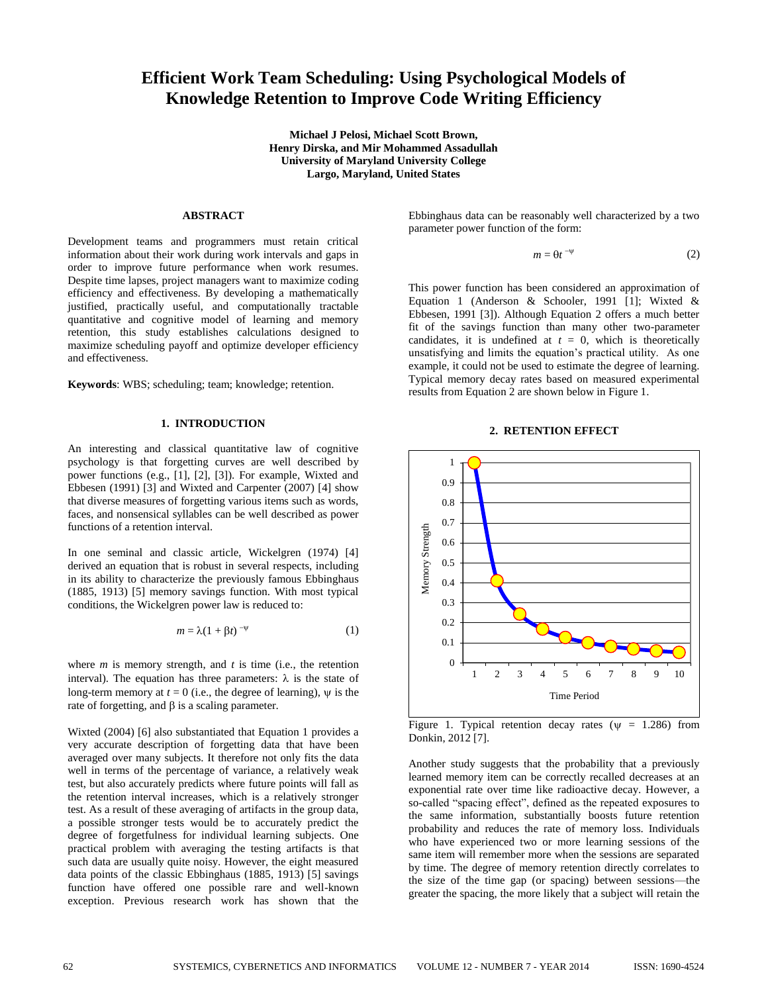# **Efficient Work Team Scheduling: Using Psychological Models of Knowledge Retention to Improve Code Writing Efficiency**

**Michael J Pelosi, Michael Scott Brown, Henry Dirska, and Mir Mohammed Assadullah University of Maryland University College Largo, Maryland, United States**

## **ABSTRACT**

Development teams and programmers must retain critical information about their work during work intervals and gaps in order to improve future performance when work resumes. Despite time lapses, project managers want to maximize coding efficiency and effectiveness. By developing a mathematically justified, practically useful, and computationally tractable quantitative and cognitive model of learning and memory retention, this study establishes calculations designed to maximize scheduling payoff and optimize developer efficiency and effectiveness.

**Keywords**: WBS; scheduling; team; knowledge; retention.

### **1. INTRODUCTION**

An interesting and classical quantitative law of cognitive psychology is that forgetting curves are well described by power functions (e.g., [1], [2], [3]). For example, Wixted and Ebbesen (1991) [3] and Wixted and Carpenter (2007) [4] show that diverse measures of forgetting various items such as words, faces, and nonsensical syllables can be well described as power functions of a retention interval.

In one seminal and classic article, Wickelgren (1974) [4] derived an equation that is robust in several respects, including in its ability to characterize the previously famous Ebbinghaus (1885, 1913) [5] memory savings function. With most typical conditions, the Wickelgren power law is reduced to:

$$
m = \lambda (1 + \beta t)^{-\psi} \tag{1}
$$

where *m* is memory strength, and *t* is time (i.e., the retention interval). The equation has three parameters:  $\lambda$  is the state of long-term memory at  $t = 0$  (i.e., the degree of learning),  $\psi$  is the rate of forgetting, and  $\beta$  is a scaling parameter.

Wixted (2004) [6] also substantiated that Equation 1 provides a very accurate description of forgetting data that have been averaged over many subjects. It therefore not only fits the data well in terms of the percentage of variance, a relatively weak test, but also accurately predicts where future points will fall as the retention interval increases, which is a relatively stronger test. As a result of these averaging of artifacts in the group data, a possible stronger tests would be to accurately predict the degree of forgetfulness for individual learning subjects. One practical problem with averaging the testing artifacts is that such data are usually quite noisy. However, the eight measured data points of the classic Ebbinghaus (1885, 1913) [5] savings function have offered one possible rare and well-known exception. Previous research work has shown that the

Ebbinghaus data can be reasonably well characterized by a two parameter power function of the form:

$$
m = \Theta t^{-\psi} \tag{2}
$$

This power function has been considered an approximation of Equation 1 (Anderson & Schooler, 1991 [1]; Wixted & Ebbesen, 1991 [3]). Although Equation 2 offers a much better fit of the savings function than many other two-parameter candidates, it is undefined at  $t = 0$ , which is theoretically unsatisfying and limits the equation's practical utility. As one example, it could not be used to estimate the degree of learning. Typical memory decay rates based on measured experimental results from Equation 2 are shown below in Figure 1.

#### **2. RETENTION EFFECT**



Figure 1. Typical retention decay rates ( $\psi$  = 1.286) from Donkin, 2012 [7].

Another study suggests that the probability that a previously learned memory item can be correctly recalled decreases at an exponential rate over time like radioactive decay. However, a so-called "spacing effect", defined as the repeated exposures to the same information, substantially boosts future retention probability and reduces the rate of memory loss. Individuals who have experienced two or more learning sessions of the same item will remember more when the sessions are separated by time. The degree of memory retention directly correlates to the size of the time gap (or spacing) between sessions—the greater the spacing, the more likely that a subject will retain the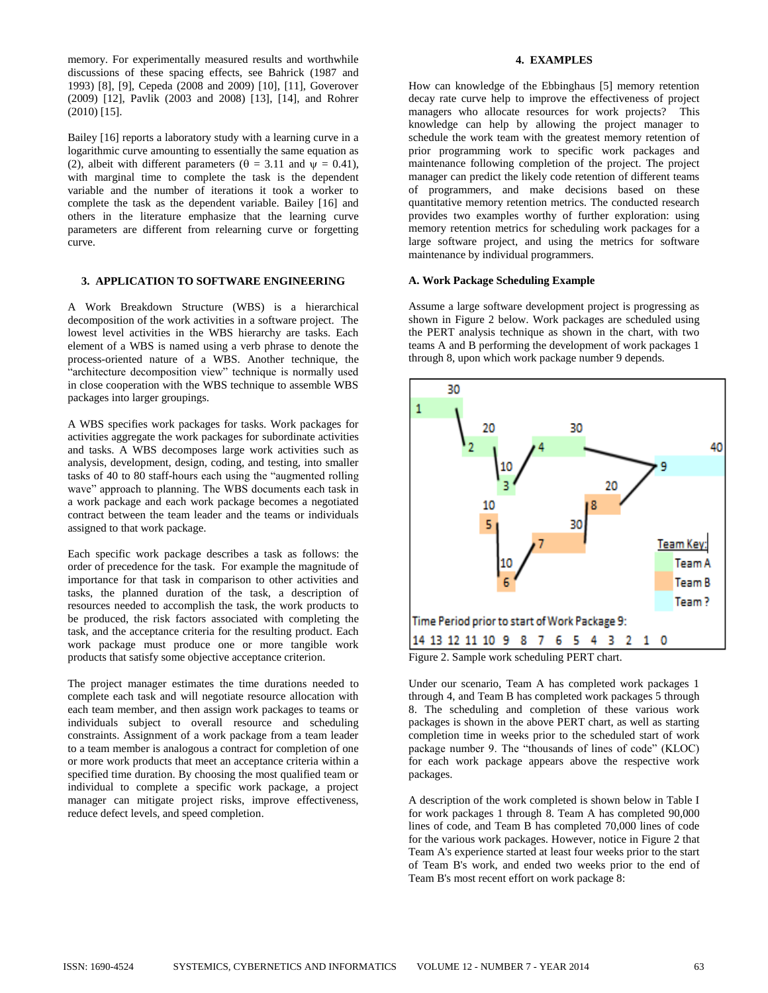memory. For experimentally measured results and worthwhile discussions of these spacing effects, see Bahrick (1987 and 1993) [8], [9], Cepeda (2008 and 2009) [10], [11], Goverover (2009) [12], Pavlik (2003 and 2008) [13], [14], and Rohrer (2010) [15].

Bailey [16] reports a laboratory study with a learning curve in a logarithmic curve amounting to essentially the same equation as (2), albeit with different parameters ( $\theta = 3.11$  and  $\psi = 0.41$ ), with marginal time to complete the task is the dependent variable and the number of iterations it took a worker to complete the task as the dependent variable. Bailey [16] and others in the literature emphasize that the learning curve parameters are different from relearning curve or forgetting curve.

## **3. APPLICATION TO SOFTWARE ENGINEERING**

A Work Breakdown Structure (WBS) is a hierarchical decomposition of the work activities in a software project. The lowest level activities in the WBS hierarchy are tasks. Each element of a WBS is named using a verb phrase to denote the process-oriented nature of a WBS. Another technique, the "architecture decomposition view" technique is normally used in close cooperation with the WBS technique to assemble WBS packages into larger groupings.

A WBS specifies work packages for tasks. Work packages for activities aggregate the work packages for subordinate activities and tasks. A WBS decomposes large work activities such as analysis, development, design, coding, and testing, into smaller tasks of 40 to 80 staff-hours each using the "augmented rolling wave" approach to planning. The WBS documents each task in a work package and each work package becomes a negotiated contract between the team leader and the teams or individuals assigned to that work package.

Each specific work package describes a task as follows: the order of precedence for the task. For example the magnitude of importance for that task in comparison to other activities and tasks, the planned duration of the task, a description of resources needed to accomplish the task, the work products to be produced, the risk factors associated with completing the task, and the acceptance criteria for the resulting product. Each work package must produce one or more tangible work products that satisfy some objective acceptance criterion.

The project manager estimates the time durations needed to complete each task and will negotiate resource allocation with each team member, and then assign work packages to teams or individuals subject to overall resource and scheduling constraints. Assignment of a work package from a team leader to a team member is analogous a contract for completion of one or more work products that meet an acceptance criteria within a specified time duration. By choosing the most qualified team or individual to complete a specific work package, a project manager can mitigate project risks, improve effectiveness, reduce defect levels, and speed completion.

## **4. EXAMPLES**

How can knowledge of the Ebbinghaus [5] memory retention decay rate curve help to improve the effectiveness of project managers who allocate resources for work projects? This knowledge can help by allowing the project manager to schedule the work team with the greatest memory retention of prior programming work to specific work packages and maintenance following completion of the project. The project manager can predict the likely code retention of different teams of programmers, and make decisions based on these quantitative memory retention metrics. The conducted research provides two examples worthy of further exploration: using memory retention metrics for scheduling work packages for a large software project, and using the metrics for software maintenance by individual programmers.

### **A. Work Package Scheduling Example**

Assume a large software development project is progressing as shown in Figure 2 below. Work packages are scheduled using the PERT analysis technique as shown in the chart, with two teams A and B performing the development of work packages 1 through 8, upon which work package number 9 depends.



Under our scenario, Team A has completed work packages 1 through 4, and Team B has completed work packages 5 through 8. The scheduling and completion of these various work packages is shown in the above PERT chart, as well as starting completion time in weeks prior to the scheduled start of work package number 9. The "thousands of lines of code" (KLOC) for each work package appears above the respective work packages.

A description of the work completed is shown below in Table I for work packages 1 through 8. Team A has completed 90,000 lines of code, and Team B has completed 70,000 lines of code for the various work packages. However, notice in Figure 2 that Team A's experience started at least four weeks prior to the start of Team B's work, and ended two weeks prior to the end of Team B's most recent effort on work package 8: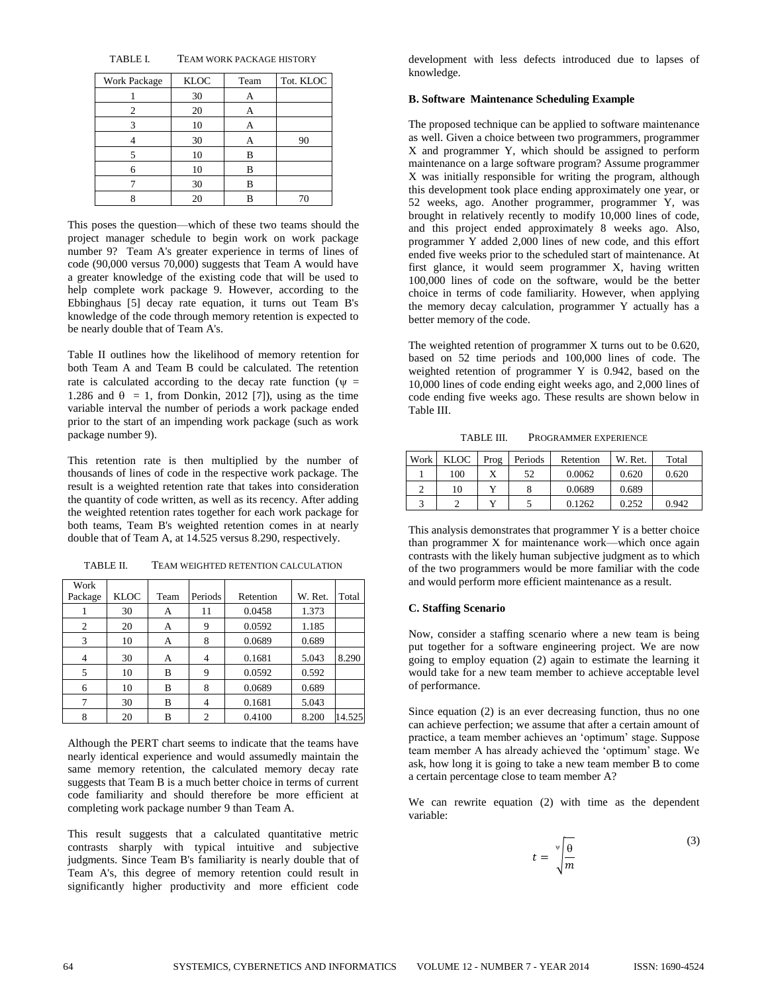TABLE I. TEAM WORK PACKAGE HISTORY

| Work Package | <b>KLOC</b> | Team | Tot. KLOC |
|--------------|-------------|------|-----------|
|              | 30          | А    |           |
| 2            | 20          | А    |           |
| 3            | 10          |      |           |
|              | 30          | А    | 90        |
|              | 10          | B    |           |
| 6            | 10          | В    |           |
|              | 30          | B    |           |
|              | 20          |      |           |

This poses the question—which of these two teams should the project manager schedule to begin work on work package number 9? Team A's greater experience in terms of lines of code (90,000 versus 70,000) suggests that Team A would have a greater knowledge of the existing code that will be used to help complete work package 9. However, according to the Ebbinghaus [5] decay rate equation, it turns out Team B's knowledge of the code through memory retention is expected to be nearly double that of Team A's.

Table II outlines how the likelihood of memory retention for both Team A and Team B could be calculated. The retention rate is calculated according to the decay rate function ( $\psi$  = 1.286 and  $\theta = 1$ , from Donkin, 2012 [7]), using as the time variable interval the number of periods a work package ended prior to the start of an impending work package (such as work package number 9).

This retention rate is then multiplied by the number of thousands of lines of code in the respective work package. The result is a weighted retention rate that takes into consideration the quantity of code written, as well as its recency. After adding the weighted retention rates together for each work package for both teams, Team B's weighted retention comes in at nearly double that of Team A, at 14.525 versus 8.290, respectively.

| TABLE II. | TEAM WEIGHTED RETENTION CALCULATION |
|-----------|-------------------------------------|
|-----------|-------------------------------------|

| Work    |             |      |                |           |         |        |
|---------|-------------|------|----------------|-----------|---------|--------|
| Package | <b>KLOC</b> | Team | Periods        | Retention | W. Ret. | Total  |
|         | 30          | А    | 11             | 0.0458    | 1.373   |        |
| 2       | 20          | А    | 9              | 0.0592    | 1.185   |        |
| 3       | 10          | А    | 8              | 0.0689    | 0.689   |        |
|         | 30          | А    | 4              | 0.1681    | 5.043   | 8.290  |
| 5       | 10          | B    | 9              | 0.0592    | 0.592   |        |
| 6       | 10          | B    | 8              | 0.0689    | 0.689   |        |
|         | 30          | B    | 4              | 0.1681    | 5.043   |        |
|         | 20          | B    | $\overline{c}$ | 0.4100    | 8.200   | 14.525 |

Although the PERT chart seems to indicate that the teams have nearly identical experience and would assumedly maintain the same memory retention, the calculated memory decay rate suggests that Team B is a much better choice in terms of current code familiarity and should therefore be more efficient at completing work package number 9 than Team A.

This result suggests that a calculated quantitative metric contrasts sharply with typical intuitive and subjective judgments. Since Team B's familiarity is nearly double that of Team A's, this degree of memory retention could result in significantly higher productivity and more efficient code development with less defects introduced due to lapses of knowledge.

#### **B. Software Maintenance Scheduling Example**

The proposed technique can be applied to software maintenance as well. Given a choice between two programmers, programmer X and programmer Y, which should be assigned to perform maintenance on a large software program? Assume programmer X was initially responsible for writing the program, although this development took place ending approximately one year, or 52 weeks, ago. Another programmer, programmer Y, was brought in relatively recently to modify 10,000 lines of code, and this project ended approximately 8 weeks ago. Also, programmer Y added 2,000 lines of new code, and this effort ended five weeks prior to the scheduled start of maintenance. At first glance, it would seem programmer X, having written 100,000 lines of code on the software, would be the better choice in terms of code familiarity. However, when applying the memory decay calculation, programmer Y actually has a better memory of the code.

The weighted retention of programmer X turns out to be 0.620, based on 52 time periods and 100,000 lines of code. The weighted retention of programmer Y is 0.942, based on the 10,000 lines of code ending eight weeks ago, and 2,000 lines of code ending five weeks ago. These results are shown below in Table III.

TABLE III. PROGRAMMER EXPERIENCE

| Work | <b>KLOC</b> | Prog | Periods | Retention | W. Ret. | Total |
|------|-------------|------|---------|-----------|---------|-------|
|      | 100         |      | 52      | 0.0062    | 0.620   | 0.620 |
|      | 10          |      |         | 0.0689    | 0.689   |       |
|      |             |      |         | 0.1262    | 0.252   | 0.942 |

This analysis demonstrates that programmer Y is a better choice than programmer X for maintenance work—which once again contrasts with the likely human subjective judgment as to which of the two programmers would be more familiar with the code and would perform more efficient maintenance as a result.

#### **C. Staffing Scenario**

Now, consider a staffing scenario where a new team is being put together for a software engineering project. We are now going to employ equation (2) again to estimate the learning it would take for a new team member to achieve acceptable level of performance.

Since equation (2) is an ever decreasing function, thus no one can achieve perfection; we assume that after a certain amount of practice, a team member achieves an 'optimum' stage. Suppose team member A has already achieved the 'optimum' stage. We ask, how long it is going to take a new team member B to come a certain percentage close to team member A?

We can rewrite equation (2) with time as the dependent variable:

$$
t = \sqrt[{\Psi]{\frac{\theta}{m}}}
$$
 (3)